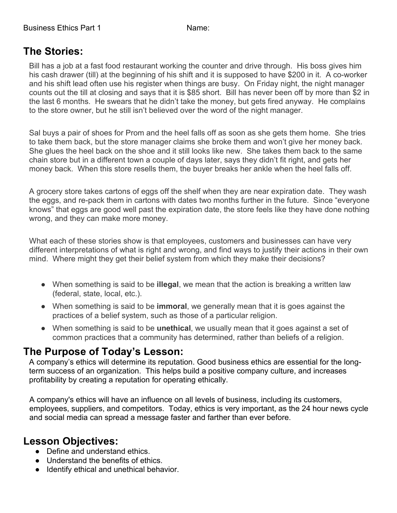# **The Stories:**

Bill has a job at a fast food restaurant working the counter and drive through. His boss gives him his cash drawer (till) at the beginning of his shift and it is supposed to have \$200 in it. A co-worker and his shift lead often use his register when things are busy. On Friday night, the night manager counts out the till at closing and says that it is \$85 short. Bill has never been off by more than \$2 in the last 6 months. He swears that he didn't take the money, but gets fired anyway. He complains to the store owner, but he still isn't believed over the word of the night manager.

Sal buys a pair of shoes for Prom and the heel falls off as soon as she gets them home. She tries to take them back, but the store manager claims she broke them and won't give her money back. She glues the heel back on the shoe and it still looks like new. She takes them back to the same chain store but in a different town a couple of days later, says they didn't fit right, and gets her money back. When this store resells them, the buyer breaks her ankle when the heel falls off.

A grocery store takes cartons of eggs off the shelf when they are near expiration date. They wash the eggs, and re-pack them in cartons with dates two months further in the future. Since "everyone knows" that eggs are good well past the expiration date, the store feels like they have done nothing wrong, and they can make more money.

What each of these stories show is that employees, customers and businesses can have very different interpretations of what is right and wrong, and find ways to justify their actions in their own mind. Where might they get their belief system from which they make their decisions?

- When something is said to be **illegal**, we mean that the action is breaking a written law (federal, state, local, etc.).
- When something is said to be **immoral**, we generally mean that it is goes against the practices of a belief system, such as those of a particular religion.
- When something is said to be **unethical**, we usually mean that it goes against a set of common practices that a community has determined, rather than beliefs of a religion.

# **The Purpose of Today's Lesson:**

A company's ethics will determine its reputation. Good business ethics are essential for the longterm success of an organization. This helps build a positive company culture, and increases profitability by creating a reputation for operating ethically.

A company's ethics will have an influence on all levels of business, including its customers, employees, suppliers, and competitors. Today, ethics is very important, as the 24 hour news cycle and social media can spread a message faster and farther than ever before.

# **Lesson Objectives:**

- Define and understand ethics.
- Understand the benefits of ethics.
- Identify ethical and unethical behavior.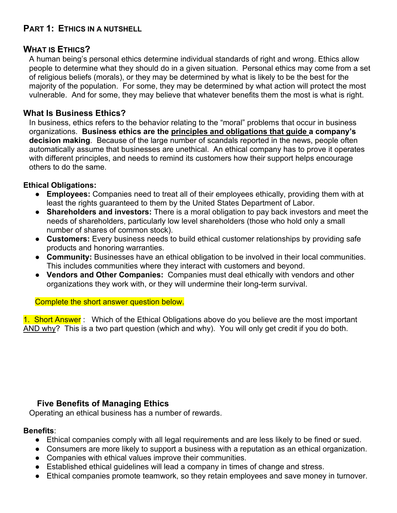# **PART 1: ETHICS IN A NUTSHELL**

# **WHAT IS ETHICS?**

A human being's personal ethics determine individual standards of right and wrong. Ethics allow people to determine what they should do in a given situation. Personal ethics may come from a set of religious beliefs (morals), or they may be determined by what is likely to be the best for the majority of the population. For some, they may be determined by what action will protect the most vulnerable. And for some, they may believe that whatever benefits them the most is what is right.

## **What Is Business Ethics?**

In business, ethics refers to the behavior relating to the "moral" problems that occur in business organizations. **Business ethics are the principles and obligations that guide a company's decision making**. Because of the large number of scandals reported in the news, people often automatically assume that businesses are unethical. An ethical company has to prove it operates with different principles, and needs to remind its customers how their support helps encourage others to do the same.

#### **Ethical Obligations:**

- **Employees:** Companies need to treat all of their employees ethically, providing them with at least the rights guaranteed to them by the United States Department of Labor.
- **Shareholders and investors:** There is a moral obligation to pay back investors and meet the needs of shareholders, particularly low level shareholders (those who hold only a small number of shares of common stock).
- **Customers:** Every business needs to build ethical customer relationships by providing safe products and honoring warranties.
- **Community:** Businesses have an ethical obligation to be involved in their local communities. This includes communities where they interact with customers and beyond.
- **Vendors and Other Companies:** Companies must deal ethically with vendors and other organizations they work with, or they will undermine their long-term survival.

Complete the short answer question below.

1. Short Answer : Which of the Ethical Obligations above do you believe are the most important AND why? This is a two part question (which and why). You will only get credit if you do both.

## **Five Benefits of Managing Ethics**

Operating an ethical business has a number of rewards.

#### **Benefits**:

- Ethical companies comply with all legal requirements and are less likely to be fined or sued.
- Consumers are more likely to support a business with a reputation as an ethical organization.
- Companies with ethical values improve their communities.
- Established ethical quidelines will lead a company in times of change and stress.
- Ethical companies promote teamwork, so they retain employees and save money in turnover.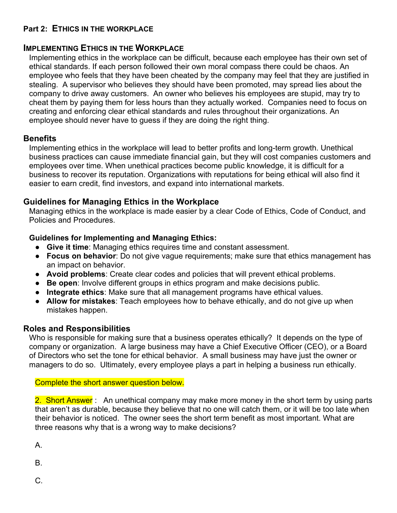# **Part 2: ETHICS IN THE WORKPLACE**

### **IMPLEMENTING ETHICS IN THE WORKPLACE**

Implementing ethics in the workplace can be difficult, because each employee has their own set of ethical standards. If each person followed their own moral compass there could be chaos. An employee who feels that they have been cheated by the company may feel that they are justified in stealing. A supervisor who believes they should have been promoted, may spread lies about the company to drive away customers. An owner who believes his employees are stupid, may try to cheat them by paying them for less hours than they actually worked. Companies need to focus on creating and enforcing clear ethical standards and rules throughout their organizations. An employee should never have to guess if they are doing the right thing.

#### **Benefits**

Implementing ethics in the workplace will lead to better profits and long-term growth. Unethical business practices can cause immediate financial gain, but they will cost companies customers and employees over time. When unethical practices become public knowledge, it is difficult for a business to recover its reputation. Organizations with reputations for being ethical will also find it easier to earn credit, find investors, and expand into international markets.

### **Guidelines for Managing Ethics in the Workplace**

Managing ethics in the workplace is made easier by a clear Code of Ethics, Code of Conduct, and Policies and Procedures.

### **Guidelines for Implementing and Managing Ethics:**

- **Give it time**: Managing ethics requires time and constant assessment.
- **Focus on behavior**: Do not give vague requirements; make sure that ethics management has an impact on behavior.
- **Avoid problems**: Create clear codes and policies that will prevent ethical problems.
- **Be open**: Involve different groups in ethics program and make decisions public.
- **Integrate ethics**: Make sure that all management programs have ethical values.
- **Allow for mistakes**: Teach employees how to behave ethically, and do not give up when mistakes happen.

## **Roles and Responsibilities**

Who is responsible for making sure that a business operates ethically? It depends on the type of company or organization. A large business may have a Chief Executive Officer (CEO), or a Board of Directors who set the tone for ethical behavior. A small business may have just the owner or managers to do so. Ultimately, every employee plays a part in helping a business run ethically.

#### Complete the short answer question below.

2. Short Answer : An unethical company may make more money in the short term by using parts that aren't as durable, because they believe that no one will catch them, or it will be too late when their behavior is noticed. The owner sees the short term benefit as most important. What are three reasons why that is a wrong way to make decisions?

A.

B.

C.